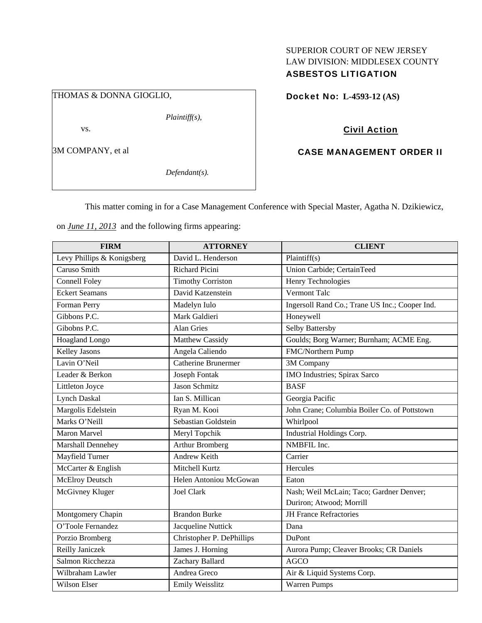### THOMAS & DONNA GIOGLIO,

*Plaintiff(s),* 

vs.

3M COMPANY, et al

*Defendant(s).* 

# SUPERIOR COURT OF NEW JERSEY LAW DIVISION: MIDDLESEX COUNTY ASBESTOS LITIGATION

Docket No: **L-4593-12 (AS)** 

## Civil Action

## CASE MANAGEMENT ORDER II

This matter coming in for a Case Management Conference with Special Master, Agatha N. Dzikiewicz,

on *June 11, 2013* and the following firms appearing:

| <b>FIRM</b>                | <b>ATTORNEY</b>            | <b>CLIENT</b>                                  |
|----------------------------|----------------------------|------------------------------------------------|
| Levy Phillips & Konigsberg | David L. Henderson         | Plaintiff $(s)$                                |
| Caruso Smith               | <b>Richard Picini</b>      | Union Carbide; CertainTeed                     |
| Connell Foley              | <b>Timothy Corriston</b>   | Henry Technologies                             |
| <b>Eckert Seamans</b>      | David Katzenstein          | Vermont Talc                                   |
| Forman Perry               | Madelyn Iulo               | Ingersoll Rand Co.; Trane US Inc.; Cooper Ind. |
| Gibbons P.C.               | Mark Galdieri              | Honeywell                                      |
| Gibobns P.C.               | <b>Alan Gries</b>          | Selby Battersby                                |
| Hoagland Longo             | Matthew Cassidy            | Goulds; Borg Warner; Burnham; ACME Eng.        |
| Kelley Jasons              | Angela Caliendo            | FMC/Northern Pump                              |
| Lavin O'Neil               | <b>Catherine Brunermer</b> | 3M Company                                     |
| Leader & Berkon            | Joseph Fontak              | IMO Industries; Spirax Sarco                   |
| Littleton Joyce            | <b>Jason Schmitz</b>       | <b>BASF</b>                                    |
| Lynch Daskal               | Ian S. Millican            | Georgia Pacific                                |
| Margolis Edelstein         | Ryan M. Kooi               | John Crane; Columbia Boiler Co. of Pottstown   |
| Marks O'Neill              | Sebastian Goldstein        | Whirlpool                                      |
| <b>Maron Marvel</b>        | Meryl Topchik              | Industrial Holdings Corp.                      |
| Marshall Dennehey          | <b>Arthur Bromberg</b>     | NMBFIL Inc.                                    |
| Mayfield Turner            | Andrew Keith               | Carrier                                        |
| McCarter & English         | Mitchell Kurtz             | Hercules                                       |
| McElroy Deutsch            | Helen Antoniou McGowan     | Eaton                                          |
| McGivney Kluger            | <b>Joel Clark</b>          | Nash; Weil McLain; Taco; Gardner Denver;       |
|                            |                            | Duriron; Atwood; Morrill                       |
| Montgomery Chapin          | <b>Brandon Burke</b>       | <b>JH France Refractories</b>                  |
| O'Toole Fernandez          | Jacqueline Nuttick         | Dana                                           |
| Porzio Bromberg            | Christopher P. DePhillips  | <b>DuPont</b>                                  |
| Reilly Janiczek            | James J. Horning           | Aurora Pump; Cleaver Brooks; CR Daniels        |
| Salmon Ricchezza           | Zachary Ballard            | <b>AGCO</b>                                    |
| Wilbraham Lawler           | Andrea Greco               | Air & Liquid Systems Corp.                     |
| Wilson Elser               | Emily Weisslitz            | Warren Pumps                                   |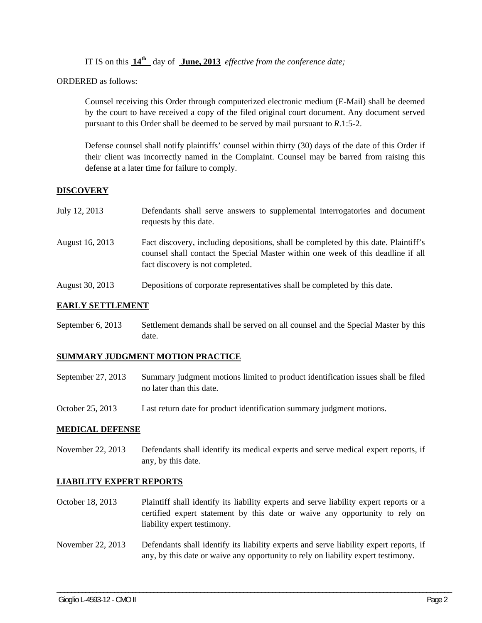IT IS on this **14th** day of **June, 2013** *effective from the conference date;*

ORDERED as follows:

Counsel receiving this Order through computerized electronic medium (E-Mail) shall be deemed by the court to have received a copy of the filed original court document. Any document served pursuant to this Order shall be deemed to be served by mail pursuant to *R*.1:5-2.

Defense counsel shall notify plaintiffs' counsel within thirty (30) days of the date of this Order if their client was incorrectly named in the Complaint. Counsel may be barred from raising this defense at a later time for failure to comply.

### **DISCOVERY**

| July 12, 2013   | Defendants shall serve answers to supplemental interrogatories and document<br>requests by this date.                                                                                                       |
|-----------------|-------------------------------------------------------------------------------------------------------------------------------------------------------------------------------------------------------------|
| August 16, 2013 | Fact discovery, including depositions, shall be completed by this date. Plaintiff's<br>counsel shall contact the Special Master within one week of this deadline if all<br>fact discovery is not completed. |
| August 30, 2013 | Depositions of corporate representatives shall be completed by this date.                                                                                                                                   |

#### **EARLY SETTLEMENT**

September 6, 2013 Settlement demands shall be served on all counsel and the Special Master by this date.

#### **SUMMARY JUDGMENT MOTION PRACTICE**

- September 27, 2013 Summary judgment motions limited to product identification issues shall be filed no later than this date.
- October 25, 2013 Last return date for product identification summary judgment motions.

#### **MEDICAL DEFENSE**

November 22, 2013 Defendants shall identify its medical experts and serve medical expert reports, if any, by this date.

#### **LIABILITY EXPERT REPORTS**

- October 18, 2013 Plaintiff shall identify its liability experts and serve liability expert reports or a certified expert statement by this date or waive any opportunity to rely on liability expert testimony.
- November 22, 2013 Defendants shall identify its liability experts and serve liability expert reports, if any, by this date or waive any opportunity to rely on liability expert testimony.

\_\_\_\_\_\_\_\_\_\_\_\_\_\_\_\_\_\_\_\_\_\_\_\_\_\_\_\_\_\_\_\_\_\_\_\_\_\_\_\_\_\_\_\_\_\_\_\_\_\_\_\_\_\_\_\_\_\_\_\_\_\_\_\_\_\_\_\_\_\_\_\_\_\_\_\_\_\_\_\_\_\_\_\_\_\_\_\_\_\_\_\_\_\_\_\_\_\_\_\_\_\_\_\_\_\_\_\_\_\_